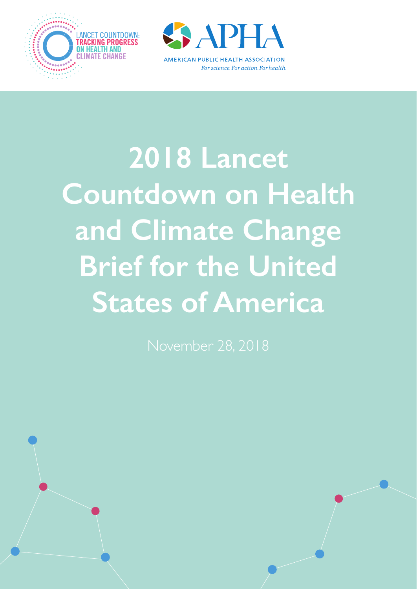



AMERICAN PURLIC HEALTH ASSOCIATION For science, For action, For health.

# **2018 Lancet Countdown on Health and Climate Change Brief for the United States of America**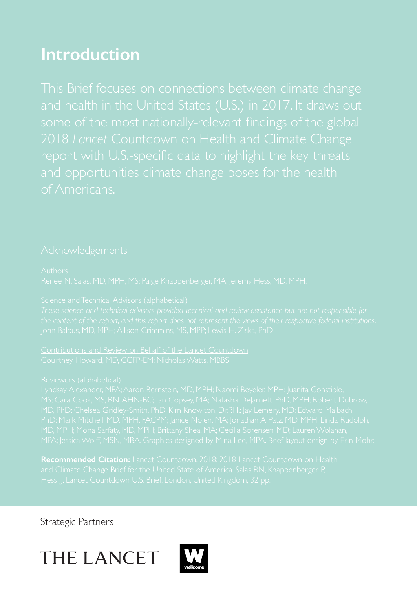### **Introduction**

and opportunities climate change poses for the health

#### Science and Technical Advisors (alphabetical)

Contributions and Review on Behalf of the Lancet Countdown

**Recommended Citation:** Lancet Countdown, 2018: 2018 Lancet Countdown on Health

Strategic Partners

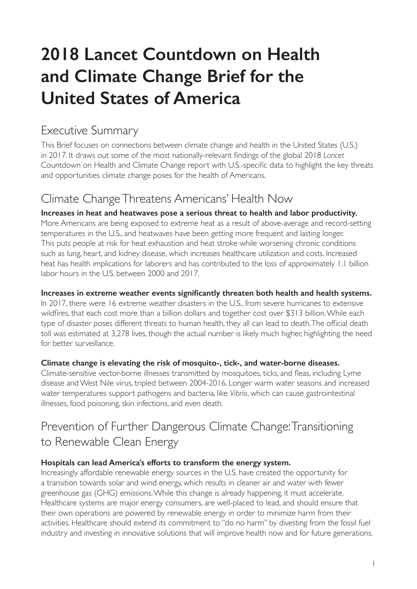### **2018 Lancet Countdown on Health and Climate Change Brief for the United States of America**

#### Executive Summary

This Brief focuses on connections between climate change and health in the United States (U.S.) in 2017. It draws out some of the most nationally-relevant findings of the global 2018 *Lancet* Countdown on Health and Climate Change report with U.S.-specific data to highlight the key threats and opportunities climate change poses for the health of Americans.

#### Climate Change Threatens Americans' Health Now

**Increases in heat and heatwaves pose a serious threat to health and labor productivity.** More Americans are being exposed to extreme heat as a result of above-average and record-setting temperatures in the U.S., and heatwaves have been getting more frequent and lasting longer. This puts people at risk for heat exhaustion and heat stroke while worsening chronic conditions such as lung, heart, and kidney disease, which increases healthcare utilization and costs. Increased heat has health implications for laborers and has contributed to the loss of approximately 1.1 billion labor hours in the U.S. between 2000 and 2017.

#### **Increases in extreme weather events significantly threaten both health and health systems.**

In 2017, there were 16 extreme weather disasters in the U.S., from severe hurricanes to extensive wildfires, that each cost more than a billion dollars and together cost over \$313 billion. While each type of disaster poses different threats to human health, they all can lead to death. The official death toll was estimated at 3,278 lives, though the actual number is likely much higher, highlighting the need for better surveillance.

#### **Climate change is elevating the risk of mosquito-, tick-, and water-borne diseases.**

Climate-sensitive vector-borne illnesses transmitted by mosquitoes, ticks, and fleas, including Lyme disease and West Nile virus, tripled between 2004-2016. Longer warm water seasons and increased water temperatures support pathogens and bacteria, like *Vibrio*, which can cause gastrointestinal illnesses, food poisoning, skin infections, and even death.

### Prevention of Further Dangerous Climate Change: Transitioning to Renewable Clean Energy

#### **Hospitals can lead America's efforts to transform the energy system.**

Increasingly affordable renewable energy sources in the U.S. have created the opportunity for a transition towards solar and wind energy, which results in cleaner air and water with fewer greenhouse gas (GHG) emissions. While this change is already happening, it must accelerate. Healthcare systems are major energy consumers, are well-placed to lead, and should ensure that their own operations are powered by renewable energy in order to minimize harm from their activities. Healthcare should extend its commitment to "do no harm" by divesting from the fossil fuel industry and investing in innovative solutions that will improve health now and for future generations.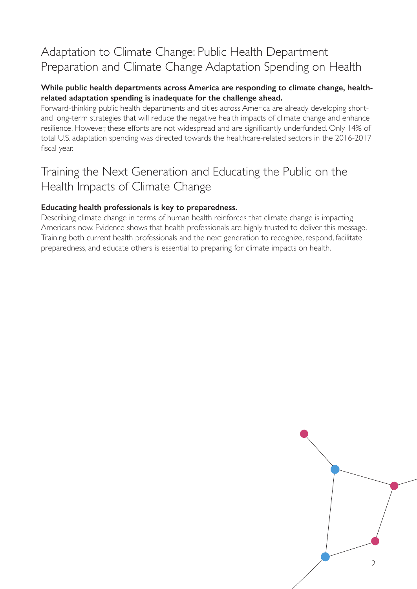#### Adaptation to Climate Change: Public Health Department Preparation and Climate Change Adaptation Spending on Health

#### **While public health departments across America are responding to climate change, healthrelated adaptation spending is inadequate for the challenge ahead.**

Forward-thinking public health departments and cities across America are already developing shortand long-term strategies that will reduce the negative health impacts of climate change and enhance resilience. However, these efforts are not widespread and are significantly underfunded. Only 14% of total U.S. adaptation spending was directed towards the healthcare-related sectors in the 2016-2017 fiscal year.

#### Training the Next Generation and Educating the Public on the Health Impacts of Climate Change

#### **Educating health professionals is key to preparedness.**

Describing climate change in terms of human health reinforces that climate change is impacting Americans now. Evidence shows that health professionals are highly trusted to deliver this message. Training both current health professionals and the next generation to recognize, respond, facilitate preparedness, and educate others is essential to preparing for climate impacts on health.

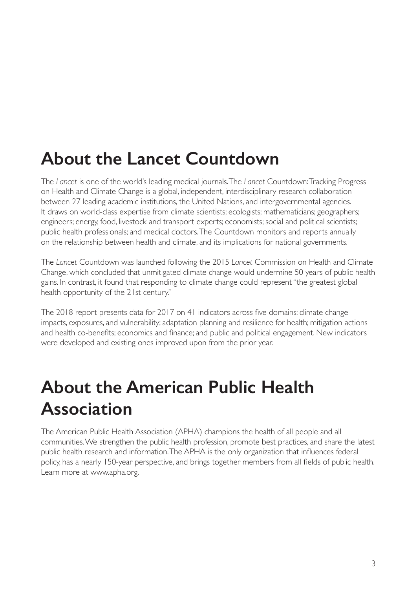### **About the Lancet Countdown**

The *Lancet* is one of the world's leading medical journals. The *Lancet* Countdown: Tracking Progress on Health and Climate Change is a global, independent, interdisciplinary research collaboration between 27 leading academic institutions, the United Nations, and intergovernmental agencies. It draws on world-class expertise from climate scientists; ecologists; mathematicians; geographers; engineers; energy, food, livestock and transport experts; economists; social and political scientists; public health professionals; and medical doctors. The Countdown monitors and reports annually on the relationship between health and climate, and its implications for national governments.

The *Lancet* Countdown was launched following the 2015 *Lancet* Commission on Health and Climate Change, which concluded that unmitigated climate change would undermine 50 years of public health gains. In contrast, it found that responding to climate change could represent "the greatest global health opportunity of the 21st century."

The 2018 report presents data for 2017 on 41 indicators across five domains: climate change impacts, exposures, and vulnerability; adaptation planning and resilience for health; mitigation actions and health co-benefits; economics and finance; and public and political engagement. New indicators were developed and existing ones improved upon from the prior year.

### **About the American Public Health Association**

The American Public Health Association (APHA) champions the health of all people and all communities. We strengthen the public health profession, promote best practices, and share the latest public health research and information. The APHA is the only organization that influences federal policy, has a nearly 150-year perspective, and brings together members from all fields of public health. Learn more at www.apha.org.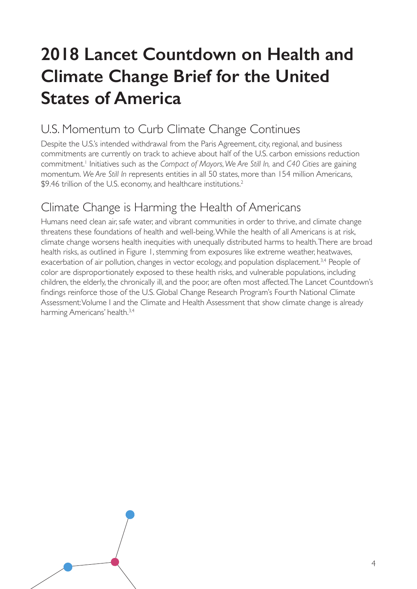## **2018 Lancet Countdown on Health and Climate Change Brief for the United States of America**

#### U.S. Momentum to Curb Climate Change Continues

Despite the U.S.'s intended withdrawal from the Paris Agreement, city, regional, and business commitments are currently on track to achieve about half of the U.S. carbon emissions reduction commitment.<sup>1</sup> Initiatives such as the *Compact of Mayors, We Are Still In, and C40 Cities are gaining* momentum. *We Are Still In* represents entities in all 50 states, more than 154 million Americans, \$9.46 trillion of the U.S. economy, and healthcare institutions.<sup>2</sup>

### Climate Change is Harming the Health of Americans

Humans need clean air, safe water, and vibrant communities in order to thrive, and climate change threatens these foundations of health and well-being. While the health of all Americans is at risk, climate change worsens health inequities with unequally distributed harms to health. There are broad health risks, as outlined in Figure 1, stemming from exposures like extreme weather, heatwaves, exacerbation of air pollution, changes in vector ecology, and population displacement.<sup>3,4</sup> People of color are disproportionately exposed to these health risks, and vulnerable populations, including children, the elderly, the chronically ill, and the poor, are often most affected. The Lancet Countdown's findings reinforce those of the U.S. Global Change Research Program's Fourth National Climate Assessment: Volume I and the Climate and Health Assessment that show climate change is already harming Americans' health.<sup>3,4</sup>

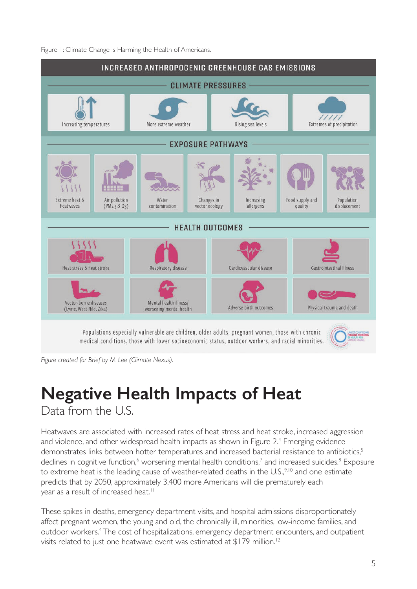Figure 1: Climate Change is Harming the Health of Americans.



*Figure created for Brief by M. Lee (Climate Nexus).*

### **Negative Health Impacts of Heat** Data from the U.S.

Heatwaves are associated with increased rates of heat stress and heat stroke, increased aggression and violence, and other widespread health impacts as shown in Figure 2.<sup>4</sup> Emerging evidence demonstrates links between hotter temperatures and increased bacterial resistance to antibiotics,<sup>5</sup> declines in cognitive function,<sup>6</sup> worsening mental health conditions,<sup>7</sup> and increased suicides.<sup>8</sup> Exposure to extreme heat is the leading cause of weather-related deaths in the  $US<sub>1</sub><sup>9,10</sup>$  and one estimate predicts that by 2050, approximately 3,400 more Americans will die prematurely each year as a result of increased heat.<sup>11</sup>

These spikes in deaths, emergency department visits, and hospital admissions disproportionately affect pregnant women, the young and old, the chronically ill, minorities, low-income families, and outdoor workers.<sup>4</sup> The cost of hospitalizations, emergency department encounters, and outpatient visits related to just one heatwave event was estimated at \$179 million.12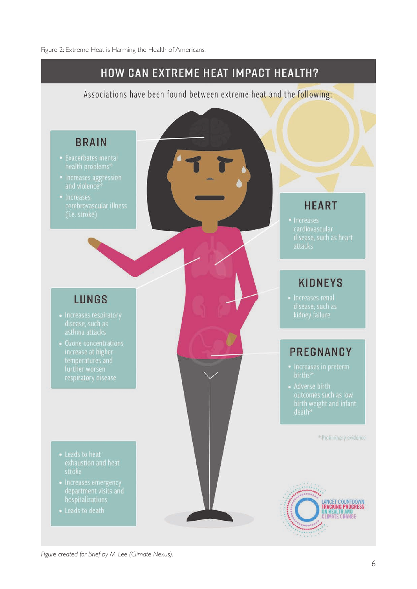

*Figure created for Brief by M. Lee (Climate Nexus).*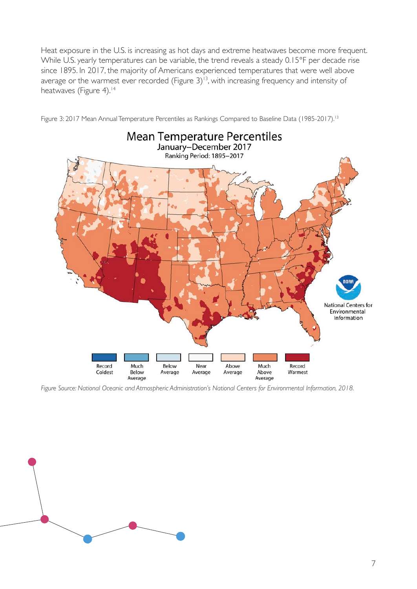Heat exposure in the U.S. is increasing as hot days and extreme heatwaves become more frequent. While U.S. yearly temperatures can be variable, the trend reveals a steady 0.15°F per decade rise since 1895. In 2017, the majority of Americans experienced temperatures that were well above average or the warmest ever recorded (Figure  $3$ )<sup>13</sup>, with increasing frequency and intensity of heatwaves (Figure 4).<sup>14</sup>



Figure 3: 2017 Mean Annual Temperature Percentiles as Rankings Compared to Baseline Data (1985-2017).<sup>13</sup>

*Figure Source: National Oceanic and Atmospheric Administration's National Centers for Environmental Information, 2018.*

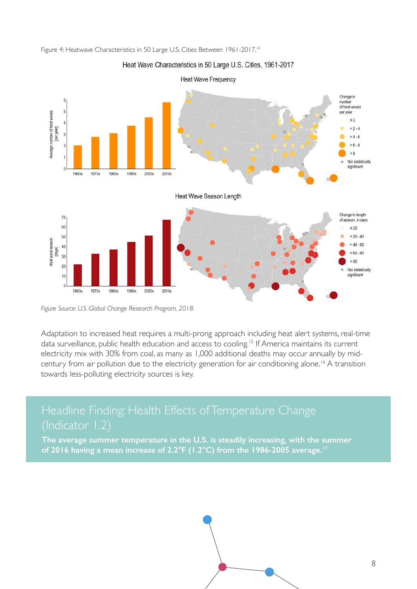

Figure 4: Heatwave Characteristics in 50 Large U.S. Cities Between 1961-2017.<sup>14</sup>

Heat Wave Characteristics in 50 Large U.S. Cities, 1961-2017

*Figure Source: U.S. Global Change Research Program, 2018.*

Adaptation to increased heat requires a multi-prong approach including heat alert systems, real-time data surveillance, public health education and access to cooling.<sup>15</sup> If America maintains its current electricity mix with 30% from coal, as many as 1,000 additional deaths may occur annually by midcentury from air pollution due to the electricity generation for air conditioning alone.<sup>16</sup> A transition towards less-polluting electricity sources is key.

#### Headline Finding: Health Effects of Temperature Change (Indicator 1.2)

**The average summer temperature in the U.S. is steadily increasing, with the summer of 2016 having a mean increase of 2.2°F (1.2°C) from the 1986-2005 average.17**

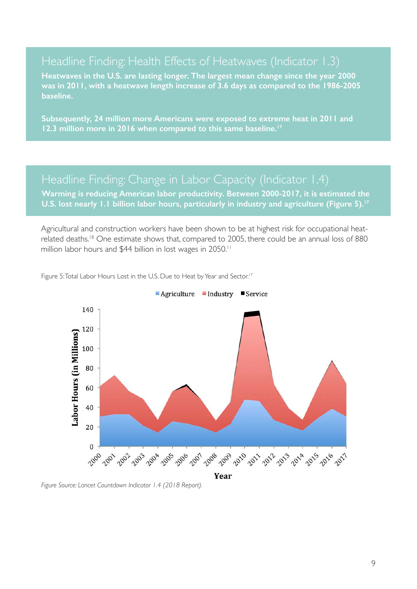Headline Finding: Health Effects of Heatwaves (Indicator 1.3) **Heatwaves in the U.S. are lasting longer. The largest mean change since the year 2000 was in 2011, with a heatwave length increase of 3.6 days as compared to the 1986-2005** 

**Subsequently, 24 million more Americans were exposed to extreme heat in 2011 and 12.3 million more in 2016 when compared to this same baseline.17**

#### Headline Finding: Change in Labor Capacity (Indicator 1.4)

**Warming is reducing American labor productivity. Between 2000-2017, it is estimated the U.S. lost nearly 1.1 billion labor hours, particularly in industry and agriculture (Figure 5).17**

Agricultural and construction workers have been shown to be at highest risk for occupational heatrelated deaths.<sup>18</sup> One estimate shows that, compared to 2005, there could be an annual loss of 880 million labor hours and \$44 billion in lost wages in 2050.<sup>11</sup>

■ Agriculture ■ Industry ■ Service 140 120 Labor Hours (in Millions) 100 80 60 40  $20$  $\bf{0}$ 2000 2001 2012 2013 2014 2015 2010 2010 2010 2010 2010 2011 2012 2013 2014 2015 2010 2017 Year

Figure 5: Total Labor Hours Lost in the U.S. Due to Heat by Year and Sector.<sup>17</sup>

**baseline.** 

*Figure Source: Lancet Countdown Indicator 1.4 (2018 Report).*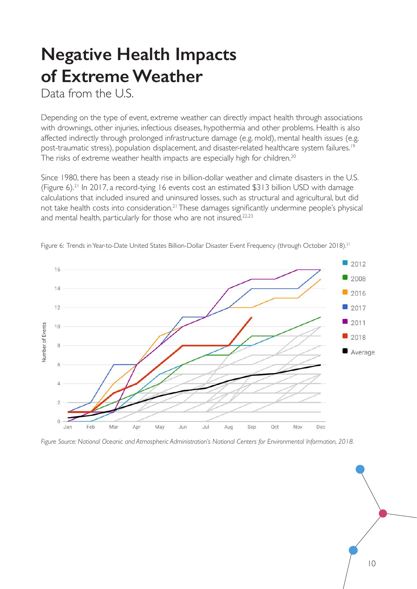### **Negative Health Impacts of Extreme Weather**

Data from the U.S.

Depending on the type of event, extreme weather can directly impact health through associations with drownings, other injuries, infectious diseases, hypothermia and other problems. Health is also affected indirectly through prolonged infrastructure damage (e.g. mold), mental health issues (e.g. post-traumatic stress), population displacement, and disaster-related healthcare system failures.<sup>19</sup> The risks of extreme weather health impacts are especially high for children.<sup>20</sup>

Since 1980, there has been a steady rise in billion-dollar weather and climate disasters in the U.S. (Figure 6).21 In 2017, a record-tying 16 events cost an estimated \$313 billion USD with damage calculations that included insured and uninsured losses, such as structural and agricultural, but did not take health costs into consideration.<sup>21</sup> These damages significantly undermine people's physical and mental health, particularly for those who are not insured.<sup>22,23</sup>



Figure 6: Trends in Year-to-Date United States Billion-Dollar Disaster Event Frequency (through October 2018).<sup>21</sup>

*Figure Source: National Oceanic and Atmospheric Administration's National Centers for Environmental Information, 2018.*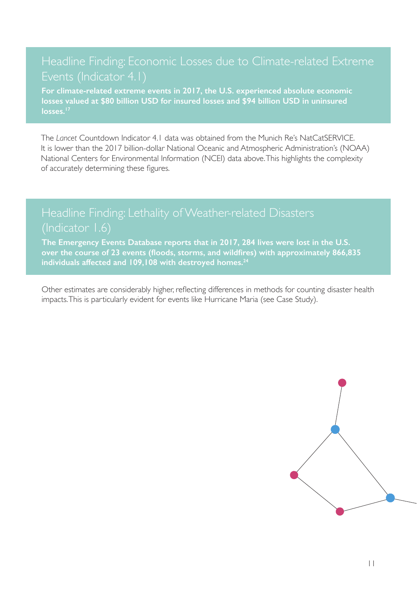#### Headline Finding: Economic Losses due to Climate-related Extreme Events (Indicator 4.1)

**For climate-related extreme events in 2017, the U.S. experienced absolute economic losses valued at \$80 billion USD for insured losses and \$94 billion USD in uninsured**  losses.<sup>17</sup>

The *Lancet* Countdown Indicator 4.1 data was obtained from the Munich Re's NatCatSERVICE. It is lower than the 2017 billion-dollar National Oceanic and Atmospheric Administration's (NOAA) National Centers for Environmental Information (NCEI) data above. This highlights the complexity of accurately determining these figures.

#### Headline Finding: Lethality of Weather-related Disasters (Indicator 1.6)

**The Emergency Events Database reports that in 2017, 284 lives were lost in the U.S. over the course of 23 events (floods, storms, and wildfires) with approximately 866,835 individuals affected and 109,108 with destroyed homes.24**

Other estimates are considerably higher, reflecting differences in methods for counting disaster health impacts. This is particularly evident for events like Hurricane Maria (see Case Study).

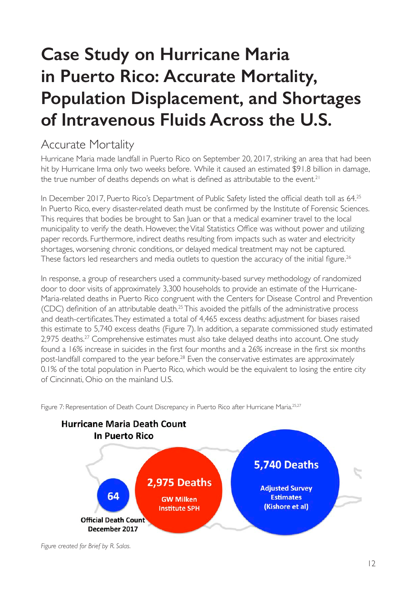## **Case Study on Hurricane Maria in Puerto Rico: Accurate Mortality, Population Displacement, and Shortages of Intravenous Fluids Across the U.S.**

#### Accurate Mortality

Hurricane Maria made landfall in Puerto Rico on September 20, 2017, striking an area that had been hit by Hurricane Irma only two weeks before. While it caused an estimated \$91.8 billion in damage, the true number of deaths depends on what is defined as attributable to the event.<sup>21</sup>

In December 2017, Puerto Rico's Department of Public Safety listed the official death toll as 64.<sup>25</sup> In Puerto Rico, every disaster-related death must be confirmed by the Institute of Forensic Sciences. This requires that bodies be brought to San Juan or that a medical examiner travel to the local municipality to verify the death. However, the Vital Statistics Office was without power and utilizing paper records. Furthermore, indirect deaths resulting from impacts such as water and electricity shortages, worsening chronic conditions, or delayed medical treatment may not be captured. These factors led researchers and media outlets to question the accuracy of the initial figure.<sup>26</sup>

In response, a group of researchers used a community-based survey methodology of randomized door to door visits of approximately 3,300 households to provide an estimate of the Hurricane-Maria-related deaths in Puerto Rico congruent with the Centers for Disease Control and Prevention (CDC) definition of an attributable death.25 This avoided the pitfalls of the administrative process and death-certificates. They estimated a total of 4,465 excess deaths: adjustment for biases raised this estimate to 5,740 excess deaths (Figure 7). In addition, a separate commissioned study estimated 2,975 deaths.<sup>27</sup> Comprehensive estimates must also take delayed deaths into account. One study found a 16% increase in suicides in the first four months and a 26% increase in the first six months post-landfall compared to the year before.<sup>28</sup> Even the conservative estimates are approximately 0.1% of the total population in Puerto Rico, which would be the equivalent to losing the entire city of Cincinnati, Ohio on the mainland U.S.

Figure 7: Representation of Death Count Discrepancy in Puerto Rico after Hurricane Maria.<sup>25,27</sup>



*Figure created for Brief by R. Salas.*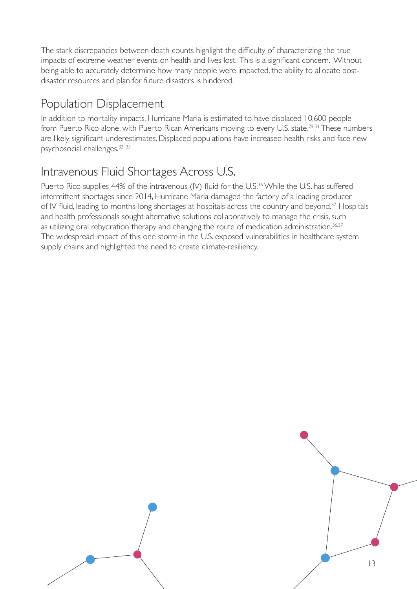The stark discrepancies between death counts highlight the difficulty of characterizing the true impacts of extreme weather events on health and lives lost. This is a significant concern. Without being able to accurately determine how many people were impacted, the ability to allocate postdisaster resources and plan for future disasters is hindered.

#### Population Displacement

In addition to mortality impacts, Hurricane Maria is estimated to have displaced 10,600 people from Puerto Rico alone, with Puerto Rican Americans moving to every U.S. state.<sup>29-31</sup> These numbers are likely significant underestimates. Displaced populations have increased health risks and face new psychosocial challenges.32–35

#### Intravenous Fluid Shortages Across U.S.

Puerto Rico supplies 44% of the intravenous (IV) fluid for the U.S.<sup>36</sup> While the U.S. has suffered intermittent shortages since 2014, Hurricane Maria damaged the factory of a leading producer of IV fluid, leading to months-long shortages at hospitals across the country and beyond.37 Hospitals and health professionals sought alternative solutions collaboratively to manage the crisis, such as utilizing oral rehydration therapy and changing the route of medication administration.<sup>36,37</sup> The widespread impact of this one storm in the U.S. exposed vulnerabilities in healthcare system supply chains and highlighted the need to create climate-resiliency.



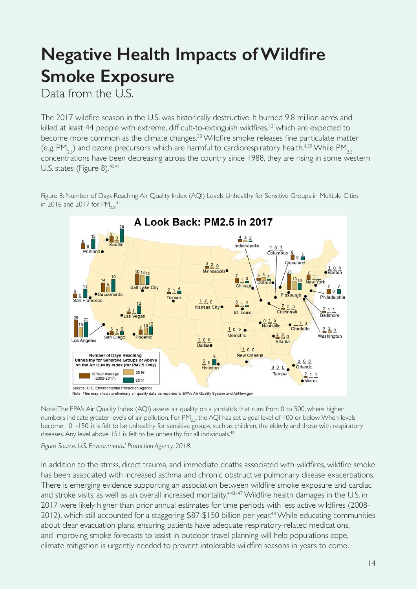## **Negative Health Impacts of Wildfire Smoke Exposure**

Data from the U.S.

The 2017 wildfire season in the U.S. was historically destructive. It burned 9.8 million acres and killed at least 44 people with extreme, difficult-to-extinguish wildfires,<sup>13</sup> which are expected to become more common as the climate changes.<sup>38</sup> Wildfire smoke releases fine particulate matter (e.g.  $PM_{25}$ ) and ozone precursors which are harmful to cardiorespiratory health.<sup>4,39</sup> While PM<sub>25</sub> concentrations have been decreasing across the country since 1988, they are rising in some western U.S. states (Figure 8).<sup>40,41</sup>

Figure 8: Number of Days Reaching Air Quality Index (AQI) Levels Unhealthy for Sensitive Groups in Multiple Cities in 2016 and 2017 for  $PM_{2.5}$ <sup>41</sup>



Note: The EPA's Air Quality Index (AQI) assess air quality on a yardstick that runs from 0 to 500, where higher numbers indicate greater levels of air pollution. For PM<sub>25</sub>, the AQI has set a goal level of 100 or below. When levels become 101-150, it is felt to be unhealthy for sensitive groups, such as children, the elderly, and those with respiratory diseases. Any level above 151 is felt to be unhealthy for all individuals.<sup>42</sup>

*Figure Source: U.S. Environmental Protection Agency, 2018.*

In addition to the stress, direct trauma, and immediate deaths associated with wildfires, wildfire smoke has been associated with increased asthma and chronic obstructive pulmonary disease exacerbations. There is emerging evidence supporting an association between wildfire smoke exposure and cardiac and stroke visits, as well as an overall increased mortality.<sup>4,43-47</sup> Wildfire health damages in the U.S. in 2017 were likely higher than prior annual estimates for time periods with less active wildfires (2008- 2012), which still accounted for a staggering \$87-\$150 billion per year.<sup>48</sup> While educating communities about clear evacuation plans, ensuring patients have adequate respiratory-related medications, and improving smoke forecasts to assist in outdoor travel planning will help populations cope, climate mitigation is urgently needed to prevent intolerable wildfire seasons in years to come.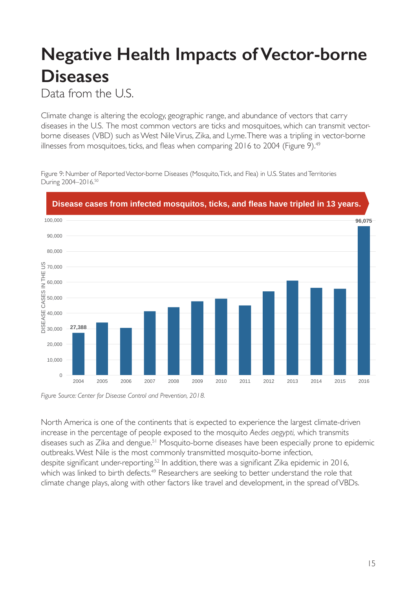### **Negative Health Impacts of Vector-borne Diseases**

Data from the U.S.

Climate change is altering the ecology, geographic range, and abundance of vectors that carry diseases in the U.S. The most common vectors are ticks and mosquitoes, which can transmit vectorborne diseases (VBD) such as West Nile Virus, Zika, and Lyme. There was a tripling in vector-borne illnesses from mosquitoes, ticks, and fleas when comparing 2016 to 2004 (Figure 9).<sup>49</sup>

Figure 9: Number of Reported Vector-borne Diseases (Mosquito, Tick, and Flea) in U.S. States and Territories During 2004–2016.<sup>50</sup>



*Figure Source: Center for Disease Control and Prevention, 2018.*

North America is one of the continents that is expected to experience the largest climate-driven increase in the percentage of people exposed to the mosquito *Aedes aegypti,* which transmits diseases such as Zika and dengue.51 Mosquito-borne diseases have been especially prone to epidemic outbreaks. West Nile is the most commonly transmitted mosquito-borne infection, despite significant under-reporting.<sup>52</sup> In addition, there was a significant Zika epidemic in 2016, which was linked to birth defects.<sup>49</sup> Researchers are seeking to better understand the role that climate change plays, along with other factors like travel and development, in the spread of VBDs.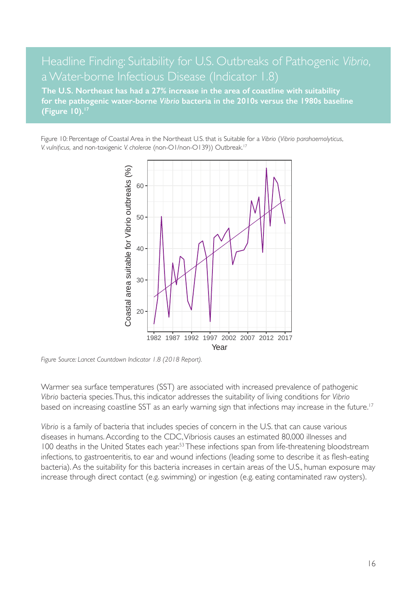#### Headline Finding: Suitability for U.S. Outbreaks of Pathogenic *Vibrio*, a Water-borne Infectious Disease (Indicator 1.8)

**The U.S. Northeast has had a 27% increase in the area of coastline with suitability for the pathogenic water-borne** *Vibrio* **bacteria in the 2010s versus the 1980s baseline (Figure 10).17**

*V. vulnificus,* and non-toxigenic *V. cholerae* (non-O1/non-O139)) Outbreak.<sup>17</sup> Figure 10: Percentage of Coastal Area in the Northeast U.S. that is Suitable for a *Vibrio* (*Vibrio parahaemolyticus*,



*Figure Source: Lancet Countdown Indicator 1.8 (2018 Report).*

Warmer sea surface temperatures (SST) are associated with increased prevalence of pathogenic *Vibrio* bacteria species. Thus, this indicator addresses the suitability of living conditions for *Vibrio* based on increasing coastline SST as an early warning sign that infections may increase in the future.<sup>17</sup>

*Vibrio* is a family of bacteria that includes species of concern in the U.S. that can cause various diseases in humans. According to the CDC, Vibriosis causes an estimated 80,000 illnesses and 100 deaths in the United States each year.<sup>53</sup> These infections span from life-threatening bloodstream infections, to gastroenteritis, to ear and wound infections (leading some to describe it as flesh-eating bacteria). As the suitability for this bacteria increases in certain areas of the U.S., human exposure may increase through direct contact (e.g. swimming) or ingestion (e.g. eating contaminated raw oysters).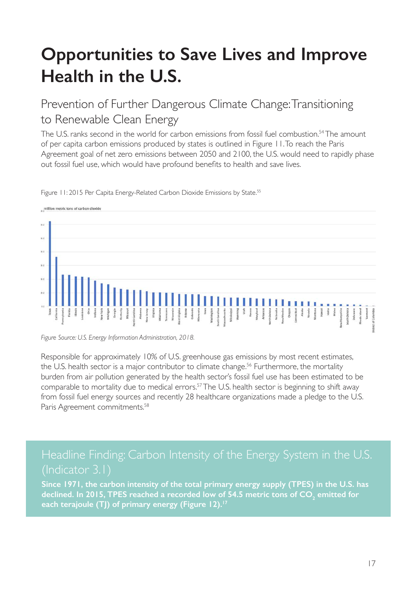## **Opportunities to Save Lives and Improve Health in the U.S.**

#### Prevention of Further Dangerous Climate Change: Transitioning to Renewable Clean Energy

The U.S. ranks second in the world for carbon emissions from fossil fuel combustion.<sup>54</sup> The amount of per capita carbon emissions produced by states is outlined in Figure 11. To reach the Paris Agreement goal of net zero emissions between 2050 and 2100, the U.S. would need to rapidly phase out fossil fuel use, which would have profound benefits to health and save lives.



Figure 11: 2015 Per Capita Energy-Related Carbon Dioxide Emissions by State.<sup>55</sup>

*Figure Source: U.S. Energy Information Administration, 2018.*

Responsible for approximately 10% of U.S. greenhouse gas emissions by most recent estimates, the U.S. health sector is a major contributor to climate change.<sup>56</sup> Furthermore, the mortality burden from air pollution generated by the health sector's fossil fuel use has been estimated to be comparable to mortality due to medical errors.<sup>57</sup> The U.S. health sector is beginning to shift away from fossil fuel energy sources and recently 28 healthcare organizations made a pledge to the U.S. Paris Agreement commitments.<sup>58</sup>

#### Headline Finding: Carbon Intensity of the Energy System in the U.S. (Indicator 3.1)

**Since 1971, the carbon intensity of the total primary energy supply (TPES) in the U.S. has**  declined. In 2015, TPES reached a recorded low of 54.5 metric tons of CO<sub>2</sub> emitted for each terajoule (TJ) of primary energy (Figure 12).<sup>17</sup>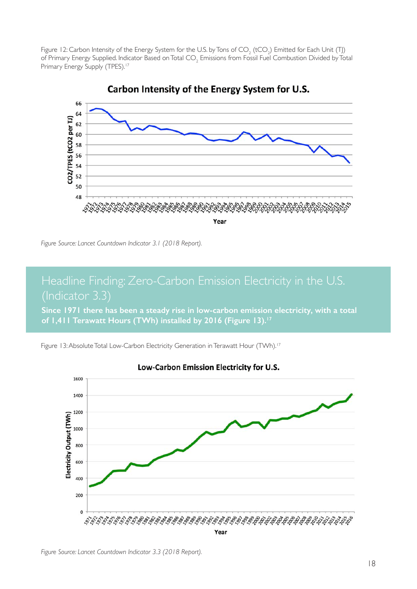Figure 12: Carbon Intensity of the Energy System for the U.S. by Tons of CO<sub>2</sub> (tCO<sub>2</sub>) Emitted for Each Unit (TJ) of Primary Energy Supplied. Indicator Based on Total CO $_{_2}$  Emissions from Fossil Fuel Combustion Divided by Total Primary Energy Supply (TPES).<sup>17</sup>



Carbon Intensity of the Energy System for U.S.

*Figure Source: Lancet Countdown Indicator 3.1 (2018 Report).*

#### Headline Finding: Zero-Carbon Emission Electricity in the U.S. (Indicator 3.3)

**Since 1971 there has been a steady rise in low-carbon emission electricity, with a total**  of 1,411 Terawatt Hours (TWh) installed by 2016 (Figure 13).<sup>17</sup>

Figure 13: Absolute Total Low-Carbon Electricity Generation in Terawatt Hour (TWh).<sup>17</sup>



#### Low-Carbon Emission Electricity for U.S.

*Figure Source: Lancet Countdown Indicator 3.3 (2018 Report).*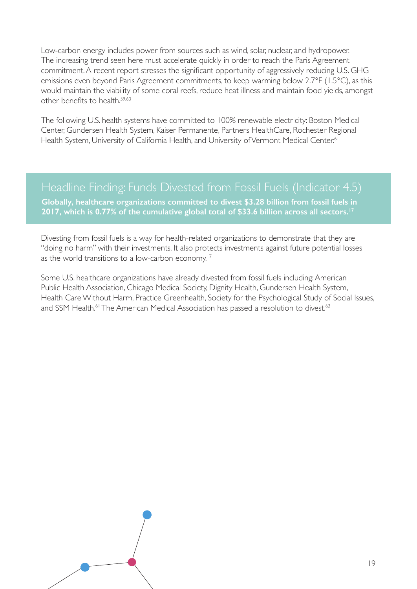Low-carbon energy includes power from sources such as wind, solar, nuclear, and hydropower. The increasing trend seen here must accelerate quickly in order to reach the Paris Agreement commitment. A recent report stresses the significant opportunity of aggressively reducing U.S. GHG emissions even beyond Paris Agreement commitments, to keep warming below 2.7°F (1.5°C), as this would maintain the viability of some coral reefs, reduce heat illness and maintain food yields, amongst other benefits to health 59,60

The following U.S. health systems have committed to 100% renewable electricity: Boston Medical Center, Gundersen Health System, Kaiser Permanente, Partners HealthCare, Rochester Regional Health System, University of California Health, and University of Vermont Medical Center.<sup>61</sup>

Headline Finding: Funds Divested from Fossil Fuels (Indicator 4.5) **Globally, healthcare organizations committed to divest \$3.28 billion from fossil fuels in 2017, which is 0.77% of the cumulative global total of \$33.6 billion across all sectors.17**

Divesting from fossil fuels is a way for health-related organizations to demonstrate that they are "doing no harm" with their investments. It also protects investments against future potential losses as the world transitions to a low-carbon economy.<sup>17</sup>

Some U.S. healthcare organizations have already divested from fossil fuels including: American Public Health Association, Chicago Medical Society, Dignity Health, Gundersen Health System, Health Care Without Harm, Practice Greenhealth, Society for the Psychological Study of Social Issues, and SSM Health.<sup>61</sup> The American Medical Association has passed a resolution to divest.<sup>62</sup>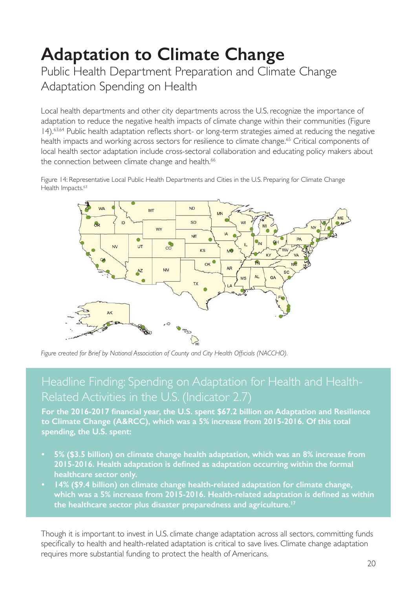### **Adaptation to Climate Change** Public Health Department Preparation and Climate Change Adaptation Spending on Health

Local health departments and other city departments across the U.S. recognize the importance of adaptation to reduce the negative health impacts of climate change within their communities (Figure 14).63,64 Public health adaptation reflects short- or long-term strategies aimed at reducing the negative health impacts and working across sectors for resilience to climate change.<sup>65</sup> Critical components of local health sector adaptation include cross-sectoral collaboration and educating policy makers about the connection between climate change and health.<sup>66</sup>

Figure 14: Representative Local Public Health Departments and Cities in the U.S. Preparing for Climate Change Health Impacts.<sup>63</sup>



*Figure created for Brief by National Association of County and City Health Officials (NACCHO).*

#### Headline Finding: Spending on Adaptation for Health and Health-Related Activities in the U.S. (Indicator 2.7)

**For the 2016-2017 financial year, the U.S. spent \$67.2 billion on Adaptation and Resilience to Climate Change (A&RCC), which was a 5% increase from 2015-2016. Of this total spending, the U.S. spent:**

- **• 5% (\$3.5 billion) on climate change health adaptation, which was an 8% increase from 2015-2016. Health adaptation is defined as adaptation occurring within the formal healthcare sector only.**
- **• 14% (\$9.4 billion) on climate change health-related adaptation for climate change, which was a 5% increase from 2015-2016. Health-related adaptation is defined as within the healthcare sector plus disaster preparedness and agriculture.17**

Though it is important to invest in U.S. climate change adaptation across all sectors, committing funds specifically to health and health-related adaptation is critical to save lives. Climate change adaptation requires more substantial funding to protect the health of Americans.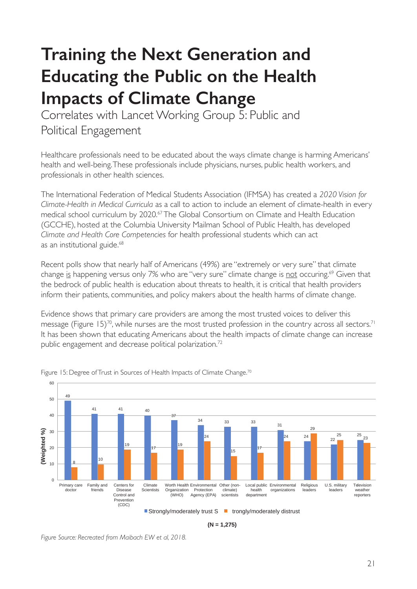## **Training the Next Generation and Educating the Public on the Health Impacts of Climate Change**

Correlates with Lancet Working Group 5: Public and Political Engagement

Healthcare professionals need to be educated about the ways climate change is harming Americans' health and well-being. These professionals include physicians, nurses, public health workers, and professionals in other health sciences.

The International Federation of Medical Students Association (IFMSA) has created a *2020 Vision for Climate-Health in Medical Curricula* as a call to action to include an element of climate-health in every medical school curriculum by 2020.<sup>67</sup> The Global Consortium on Climate and Health Education (GCCHE), hosted at the Columbia University Mailman School of Public Health, has developed *Climate and Health Core Competencies* for health professional students which can act as an institutional guide.<sup>68</sup>

Recent polls show that nearly half of Americans (49%) are "extremely or very sure" that climate change is happening versus only 7% who are "very sure" climate change is not occuring.<sup>69</sup> Given that the bedrock of public health is education about threats to health, it is critical that health providers inform their patients, communities, and policy makers about the health harms of climate change.

Evidence shows that primary care providers are among the most trusted voices to deliver this message (Figure 15)<sup>70</sup>, while nurses are the most trusted profession in the country across all sectors.<sup>71</sup> It has been shown that educating Americans about the health impacts of climate change can increase public engagement and decrease political polarization.<sup>72</sup>



Figure 15: Degree of Trust in Sources of Health Impacts of Climate Change.<sup>70</sup>

*Figure Source: Recreated from Maibach EW et al, 2018.*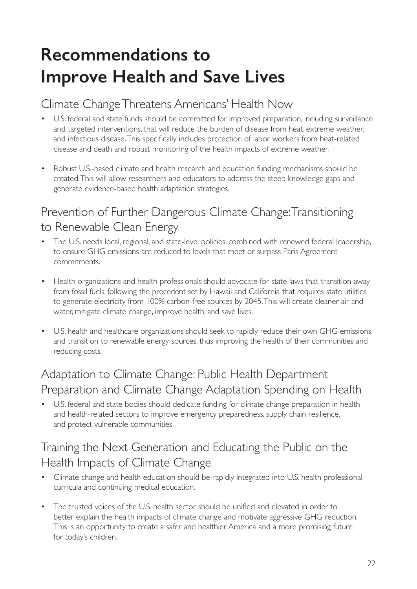### **Recommendations to Improve Health and Save Lives**

#### Climate Change Threatens Americans' Health Now

- U.S. federal and state funds should be committed for improved preparation, including surveillance and targeted interventions, that will reduce the burden of disease from heat, extreme weather, and infectious disease. This specifically includes protection of labor workers from heat-related disease and death and robust monitoring of the health impacts of extreme weather.
- Robust U.S.-based climate and health research and education funding mechanisms should be created. This will allow researchers and educators to address the steep knowledge gaps and generate evidence-based health adaptation strategies.

### Prevention of Further Dangerous Climate Change: Transitioning to Renewable Clean Energy

- The U.S. needs local, regional, and state-level policies, combined with renewed federal leadership, to ensure GHG emissions are reduced to levels that meet or surpass Paris Agreement commitments.
- Health organizations and health professionals should advocate for state laws that transition away from fossil fuels, following the precedent set by Hawaii and California that requires state utilities to generate electricity from 100% carbon-free sources by 2045. This will create cleaner air and water, mitigate climate change, improve health, and save lives.
- U.S. health and healthcare organizations should seek to rapidly reduce their own GHG emissions and transition to renewable energy sources, thus improving the health of their communities and reducing costs.

#### Adaptation to Climate Change: Public Health Department Preparation and Climate Change Adaptation Spending on Health

• U.S. federal and state bodies should dedicate funding for climate change preparation in health and health-related sectors to improve emergency preparedness, supply chain resilience, and protect vulnerable communities.

#### Training the Next Generation and Educating the Public on the Health Impacts of Climate Change

- Climate change and health education should be rapidly integrated into U.S. health professional curricula and continuing medical education.
- The trusted voices of the U.S. health sector should be unified and elevated in order to better explain the health impacts of climate change and motivate aggressive GHG reduction. This is an opportunity to create a safer and healthier America and a more promising future for today's children.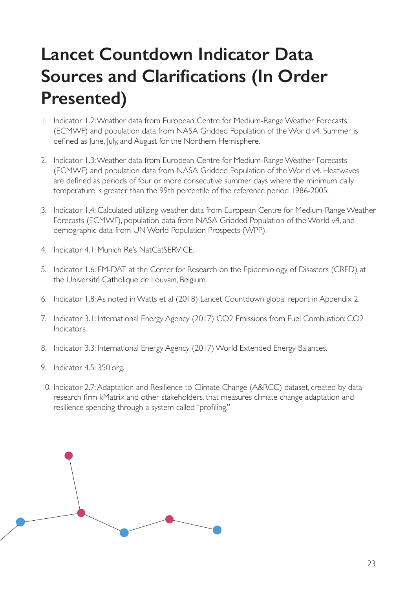### **Lancet Countdown Indicator Data Sources and Clarifications (In Order Presented)**

- 1. Indicator 1.2: Weather data from European Centre for Medium-Range Weather Forecasts (ECMWF) and population data from NASA Gridded Population of the World v4. Summer is defined as June, July, and August for the Northern Hemisphere.
- 2. Indicator 1.3: Weather data from European Centre for Medium-Range Weather Forecasts (ECMWF) and population data from NASA Gridded Population of the World v4. Heatwaves are defined as periods of four or more consecutive summer days where the minimum daily temperature is greater than the 99th percentile of the reference period 1986-2005.
- 3. Indicator 1.4: Calculated utilizing weather data from European Centre for Medium-Range Weather Forecasts (ECMWF), population data from NASA Gridded Population of the World v4, and demographic data from UN World Population Prospects (WPP).
- 4. Indicator 4.1: Munich Re's NatCatSERVICE.
- 5. Indicator 1.6: EM-DAT at the Center for Research on the Epidemiology of Disasters (CRED) at the Université Catholique de Louvain, Belgium.
- 6. Indicator 1.8: As noted in Watts et al (2018) Lancet Countdown global report in Appendix 2.
- 7. Indicator 3.1: International Energy Agency (2017) CO2 Emissions from Fuel Combustion: CO2 Indicators.
- 8. Indicator 3.3: International Energy Agency (2017) World Extended Energy Balances.
- 9. Indicator 4.5: 350.org.
- 10. Indicator 2.7: Adaptation and Resilience to Climate Change (A&RCC) dataset, created by data research firm kMatrix and other stakeholders, that measures climate change adaptation and resilience spending through a system called "profiling."

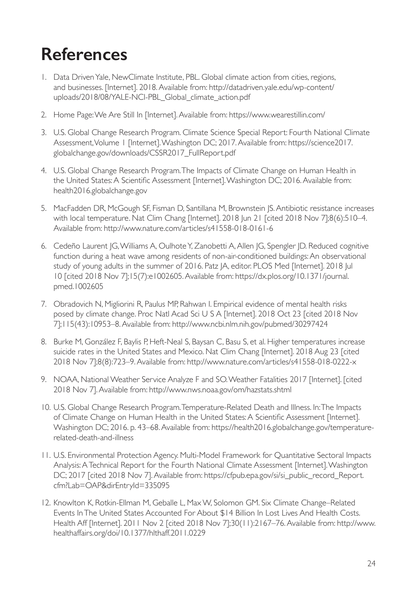### **References**

- 1. Data Driven Yale, NewClimate Institute, PBL. Global climate action from cities, regions, and businesses. [Internet]. 2018. Available from: http://datadriven.yale.edu/wp-content/ uploads/2018/08/YALE-NCI-PBL\_Global\_climate\_action.pdf
- 2. Home Page: We Are Still In [Internet]. Available from: https://www.wearestillin.com/
- 3. U.S. Global Change Research Program. Climate Science Special Report: Fourth National Climate Assessment, Volume 1 [Internet]. Washington DC; 2017. Available from: https://science2017. globalchange.gov/downloads/CSSR2017\_FullReport.pdf
- 4. U.S. Global Change Research Program. The Impacts of Climate Change on Human Health in the United States: A Scientific Assessment [Internet]. Washington DC; 2016. Available from: health2016.globalchange.gov
- 5. MacFadden DR, McGough SF, Fisman D, Santillana M, Brownstein JS. Antibiotic resistance increases with local temperature. Nat Clim Chang [Internet]. 2018 Jun 21 [cited 2018 Nov 7];8(6):510-4. Available from: http://www.nature.com/articles/s41558-018-0161-6
- 6. Cedeño Laurent JG, Williams A, Oulhote Y, Zanobetti A, Allen JG, Spengler JD. Reduced cognitive function during a heat wave among residents of non-air-conditioned buildings: An observational study of young adults in the summer of 2016. Patz JA, editor. PLOS Med [Internet]. 2018 Jul 10 [cited 2018 Nov 7];15(7):e1002605. Available from: https://dx.plos.org/10.1371/journal. pmed.1002605
- 7. Obradovich N, Migliorini R, Paulus MP, Rahwan I. Empirical evidence of mental health risks posed by climate change. Proc Natl Acad Sci U S A [Internet]. 2018 Oct 23 [cited 2018 Nov 7];115(43):10953–8. Available from: http://www.ncbi.nlm.nih.gov/pubmed/30297424
- 8. Burke M, González F, Baylis P, Heft-Neal S, Baysan C, Basu S, et al. Higher temperatures increase suicide rates in the United States and Mexico. Nat Clim Chang [Internet]. 2018 Aug 23 [cited 2018 Nov 7];8(8):723–9. Available from: http://www.nature.com/articles/s41558-018-0222-x
- 9. NOAA, National Weather Service Analyze F and SO. Weather Fatalities 2017 [Internet]. [cited 2018 Nov 7]. Available from: http://www.nws.noaa.gov/om/hazstats.shtml
- 10. U.S. Global Change Research Program. Temperature-Related Death and Illness. In: The Impacts of Climate Change on Human Health in the United States: A Scientific Assessment [Internet]. Washington DC; 2016. p. 43–68. Available from: https://health2016.globalchange.gov/temperaturerelated-death-and-illness
- 11. U.S. Environmental Protection Agency. Multi-Model Framework for Quantitative Sectoral Impacts Analysis: A Technical Report for the Fourth National Climate Assessment [Internet]. Washington DC; 2017 [cited 2018 Nov 7]. Available from: https://cfpub.epa.gov/si/si\_public\_record\_Report. cfm?Lab=OAP&dirEntryId=335095
- 12. Knowlton K, Rotkin-Ellman M, Geballe L, Max W, Solomon GM. Six Climate Change–Related Events In The United States Accounted For About \$14 Billion In Lost Lives And Health Costs. Health Aff [Internet]. 2011 Nov 2 [cited 2018 Nov 7];30(11):2167–76. Available from: http://www. healthaffairs.org/doi/10.1377/hlthaff.2011.0229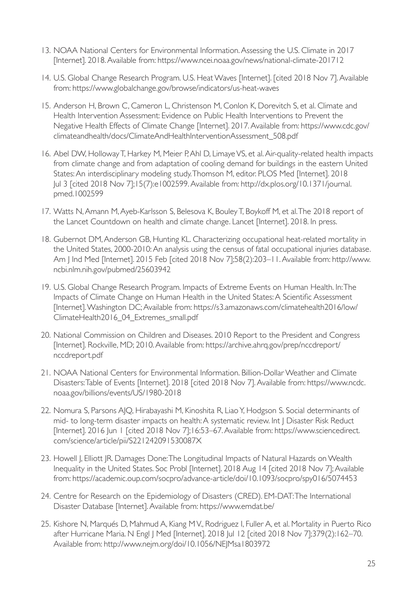- 13. NOAA National Centers for Environmental Information. Assessing the U.S. Climate in 2017 [Internet]. 2018. Available from: https://www.ncei.noaa.gov/news/national-climate-201712
- 14. U.S. Global Change Research Program. U.S. Heat Waves [Internet]. [cited 2018 Nov 7]. Available from: https://www.globalchange.gov/browse/indicators/us-heat-waves
- 15. Anderson H, Brown C, Cameron L, Christenson M, Conlon K, Dorevitch S, et al. Climate and Health Intervention Assessment: Evidence on Public Health Interventions to Prevent the Negative Health Effects of Climate Change [Internet]. 2017. Available from: https://www.cdc.gov/ climateandhealth/docs/ClimateAndHealthInterventionAssessment\_508.pdf
- 16. Abel DW, Holloway T, Harkey M, Meier P, Ahl D, Limaye VS, et al. Air-quality-related health impacts from climate change and from adaptation of cooling demand for buildings in the eastern United States: An interdisciplinary modeling study. Thomson M, editor. PLOS Med [Internet]. 2018 Jul 3 [cited 2018 Nov 7];15(7):e1002599. Available from: http://dx.plos.org/10.1371/journal. pmed.1002599
- 17. Watts N, Amann M, Ayeb-Karlsson S, Belesova K, Bouley T, Boykoff M, et al. The 2018 report of the Lancet Countdown on health and climate change. Lancet [Internet]. 2018. In press.
- 18. Gubernot DM, Anderson GB, Hunting KL. Characterizing occupational heat-related mortality in the United States, 2000-2010: An analysis using the census of fatal occupational injuries database. Am J Ind Med [Internet]. 2015 Feb [cited 2018 Nov 7];58(2):203–11. Available from: http://www. ncbi.nlm.nih.gov/pubmed/25603942
- 19. U.S. Global Change Research Program. Impacts of Extreme Events on Human Health. In: The Impacts of Climate Change on Human Health in the United States: A Scientific Assessment [Internet]. Washington DC; Available from: https://s3.amazonaws.com/climatehealth2016/low/ ClimateHealth2016\_04\_Extremes\_small.pdf
- 20. National Commission on Children and Diseases. 2010 Report to the President and Congress [Internet]. Rockville, MD; 2010. Available from: https://archive.ahrq.gov/prep/nccdreport/ nccdreport.pdf
- 21. NOAA National Centers for Environmental Information. Billion-Dollar Weather and Climate Disasters: Table of Events [Internet]. 2018 [cited 2018 Nov 7]. Available from: https://www.ncdc. noaa.gov/billions/events/US/1980-2018
- 22. Nomura S, Parsons AJQ, Hirabayashi M, Kinoshita R, Liao Y, Hodgson S. Social determinants of mid- to long-term disaster impacts on health: A systematic review. Int | Disaster Risk Reduct [Internet]. 2016 Jun 1 [cited 2018 Nov 7];16:53-67. Available from: https://www.sciencedirect. com/science/article/pii/S221242091530087X
- 23. Howell J, Elliott JR. Damages Done: The Longitudinal Impacts of Natural Hazards on Wealth Inequality in the United States. Soc Probl [Internet]. 2018 Aug 14 [cited 2018 Nov 7]; Available from: https://academic.oup.com/socpro/advance-article/doi/10.1093/socpro/spy016/5074453
- 24. Centre for Research on the Epidemiology of Disasters (CRED). EM-DAT: The International Disaster Database [Internet]. Available from: https://www.emdat.be/
- 25. Kishore N, Marqués D, Mahmud A, Kiang M V., Rodriguez I, Fuller A, et al. Mortality in Puerto Rico after Hurricane Maria. N Engl | Med [Internet]. 2018 Jul 12 [cited 2018 Nov 7];379(2):162-70. Available from: http://www.nejm.org/doi/10.1056/NEJMsa1803972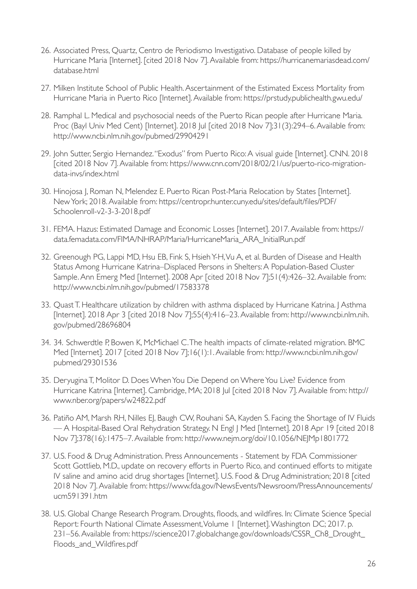- 26. Associated Press, Quartz, Centro de Periodismo Investigativo. Database of people killed by Hurricane Maria [Internet]. [cited 2018 Nov 7]. Available from: https://hurricanemariasdead.com/ database.html
- 27. Milken Institute School of Public Health. Ascertainment of the Estimated Excess Mortality from Hurricane Maria in Puerto Rico [Internet]. Available from: https://prstudy.publichealth.gwu.edu/
- 28. Ramphal L. Medical and psychosocial needs of the Puerto Rican people after Hurricane Maria. Proc (Bayl Univ Med Cent) [Internet]. 2018 Jul [cited 2018 Nov 7];31(3):294–6. Available from: http://www.ncbi.nlm.nih.gov/pubmed/29904291
- 29. John Sutter, Sergio Hernandez. "Exodus" from Puerto Rico: A visual guide [Internet]. CNN. 2018 [cited 2018 Nov 7]. Available from: https://www.cnn.com/2018/02/21/us/puerto-rico-migrationdata-invs/index.html
- 30. Hinojosa J, Roman N, Melendez E. Puerto Rican Post-Maria Relocation by States [Internet]. New York; 2018. Available from: https://centropr.hunter.cuny.edu/sites/default/files/PDF/ Schoolenroll-v2-3-3-2018.pdf
- 31. FEMA. Hazus: Estimated Damage and Economic Losses [Internet]. 2017. Available from: https:// data.femadata.com/FIMA/NHRAP/Maria/HurricaneMaria\_ARA\_InitialRun.pdf
- 32. Greenough PG, Lappi MD, Hsu EB, Fink S, Hsieh Y-H, Vu A, et al. Burden of Disease and Health Status Among Hurricane Katrina–Displaced Persons in Shelters: A Population-Based Cluster Sample. Ann Emerg Med [Internet]. 2008 Apr [cited 2018 Nov 7];51(4):426–32. Available from: http://www.ncbi.nlm.nih.gov/pubmed/17583378
- 33. Quast T. Healthcare utilization by children with asthma displaced by Hurricane Katrina. J Asthma [Internet]. 2018 Apr 3 [cited 2018 Nov 7];55(4):416–23. Available from: http://www.ncbi.nlm.nih. gov/pubmed/28696804
- 34. 34. Schwerdtle P, Bowen K, McMichael C. The health impacts of climate-related migration. BMC Med [Internet]. 2017 [cited 2018 Nov 7];16(1):1. Available from: http://www.ncbi.nlm.nih.gov/ pubmed/29301536
- 35. Deryugina T, Molitor D. Does When You Die Depend on Where You Live? Evidence from Hurricane Katrina [Internet]. Cambridge, MA; 2018 Jul [cited 2018 Nov 7]. Available from: http:// www.nber.org/papers/w24822.pdf
- 36. Patiño AM, Marsh RH, Nilles El, Baugh CW, Rouhani SA, Kayden S. Facing the Shortage of IV Fluids — A Hospital-Based Oral Rehydration Strategy. N Engl J Med [Internet]. 2018 Apr 19 [cited 2018 Nov 7];378(16):1475–7. Available from: http://www.nejm.org/doi/10.1056/NEJMp1801772
- 37. U.S. Food & Drug Administration. Press Announcements Statement by FDA Commissioner Scott Gottlieb, M.D., update on recovery efforts in Puerto Rico, and continued efforts to mitigate IV saline and amino acid drug shortages [Internet]. U.S. Food & Drug Administration; 2018 [cited 2018 Nov 7]. Available from: https://www.fda.gov/NewsEvents/Newsroom/PressAnnouncements/ ucm591391.htm
- 38. U.S. Global Change Research Program. Droughts, floods, and wildfires. In: Climate Science Special Report: Fourth National Climate Assessment, Volume 1 [Internet]. Washington DC; 2017. p. 231–56. Available from: https://science2017.globalchange.gov/downloads/CSSR\_Ch8\_Drought\_ Floods\_and\_Wildfires.pdf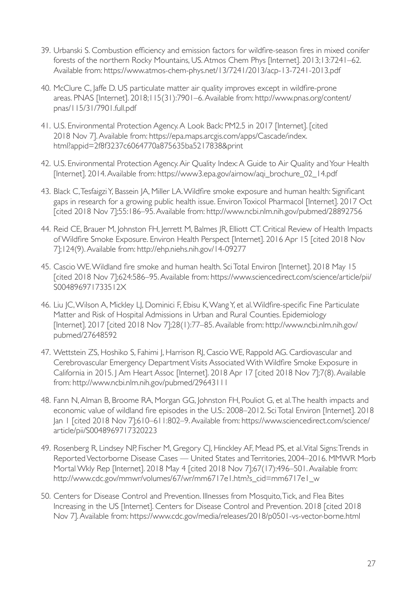- 39. Urbanski S. Combustion efficiency and emission factors for wildfire-season fires in mixed conifer forests of the northern Rocky Mountains, US. Atmos Chem Phys [Internet]. 2013;13:7241–62. Available from: https://www.atmos-chem-phys.net/13/7241/2013/acp-13-7241-2013.pdf
- 40. McClure C, Jaffe D. US particulate matter air quality improves except in wildfire-prone areas. PNAS [Internet]. 2018;115(31):7901–6. Available from: http://www.pnas.org/content/ pnas/115/31/7901.full.pdf
- 41. U.S. Environmental Protection Agency. A Look Back: PM2.5 in 2017 [Internet]. [cited 2018 Nov 7]. Available from: https://epa.maps.arcgis.com/apps/Cascade/index. html?appid=2f8f3237c6064770a875635ba5217838&print
- 42. U.S. Environmental Protection Agency. Air Quality Index: A Guide to Air Quality and Your Health [Internet]. 2014. Available from: https://www3.epa.gov/airnow/aqi\_brochure\_02\_14.pdf
- 43. Black C, Tesfaigzi Y, Bassein JA, Miller LA. Wildfire smoke exposure and human health: Significant gaps in research for a growing public health issue. Environ Toxicol Pharmacol [Internet]. 2017 Oct [cited 2018 Nov 7];55:186–95. Available from: http://www.ncbi.nlm.nih.gov/pubmed/28892756
- 44. Reid CE, Brauer M, Johnston FH, Jerrett M, Balmes JR, Elliott CT. Critical Review of Health Impacts of Wildfire Smoke Exposure. Environ Health Perspect [Internet]. 2016 Apr 15 [cited 2018 Nov 7];124(9). Available from: http://ehp.niehs.nih.gov/14-09277
- 45. Cascio WE. Wildland fire smoke and human health. Sci Total Environ [Internet]. 2018 May 15 [cited 2018 Nov 7];624:586–95. Available from: https://www.sciencedirect.com/science/article/pii/ S004896971733512X
- 46. Liu JC, Wilson A, Mickley LJ, Dominici F, Ebisu K, Wang Y, et al. Wildfire-specific Fine Particulate Matter and Risk of Hospital Admissions in Urban and Rural Counties. Epidemiology [Internet]. 2017 [cited 2018 Nov 7];28(1):77–85. Available from: http://www.ncbi.nlm.nih.gov/ pubmed/27648592
- 47. Wettstein ZS, Hoshiko S, Fahimi J, Harrison RJ, Cascio WE, Rappold AG. Cardiovascular and Cerebrovascular Emergency Department Visits Associated With Wildfire Smoke Exposure in California in 2015. J Am Heart Assoc [Internet]. 2018 Apr 17 [cited 2018 Nov 7];7(8). Available from: http://www.ncbi.nlm.nih.gov/pubmed/29643111
- 48. Fann N, Alman B, Broome RA, Morgan GG, Johnston FH, Pouliot G, et al. The health impacts and economic value of wildland fire episodes in the U.S.: 2008–2012. Sci Total Environ [Internet]. 2018 Jan 1 [cited 2018 Nov 7];610–611:802–9. Available from: https://www.sciencedirect.com/science/ article/pii/S0048969717320223
- 49. Rosenberg R, Lindsey NP, Fischer M, Gregory CJ, Hinckley AF, Mead PS, et al. Vital Signs: Trends in Reported Vectorborne Disease Cases — United States and Territories, 2004–2016. MMWR Morb Mortal Wkly Rep [Internet]. 2018 May 4 [cited 2018 Nov 7];67(17):496–501. Available from: http://www.cdc.gov/mmwr/volumes/67/wr/mm6717e1.htm?s\_cid=mm6717e1\_w
- 50. Centers for Disease Control and Prevention. Illnesses from Mosquito, Tick, and Flea Bites Increasing in the US [Internet]. Centers for Disease Control and Prevention. 2018 [cited 2018 Nov 7]. Available from: https://www.cdc.gov/media/releases/2018/p0501-vs-vector-borne.html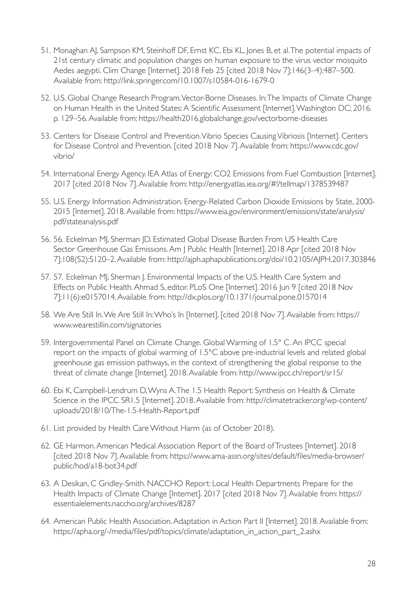- 51. Monaghan AJ, Sampson KM, Steinhoff DF, Ernst KC, Ebi KL, Jones B, et al. The potential impacts of 21st century climatic and population changes on human exposure to the virus vector mosquito Aedes aegypti. Clim Change [Internet]. 2018 Feb 25 [cited 2018 Nov 7];146(3–4):487–500. Available from: http://link.springer.com/10.1007/s10584-016-1679-0
- 52. U.S. Global Change Research Program. Vector-Borne Diseases. In: The Impacts of Climate Change on Human Health in the United States: A Scientific Assessment [Internet]. Washington DC; 2016. p. 129–56. Available from: https://health2016.globalchange.gov/vectorborne-diseases
- 53. Centers for Disease Control and Prevention. Vibrio Species Causing Vibriosis [Internet]. Centers for Disease Control and Prevention. [cited 2018 Nov 7]. Available from: https://www.cdc.gov/ vibrio/
- 54. International Energy Agency. IEA Atlas of Energy: CO2 Emissions from Fuel Combustion [Internet]. 2017 [cited 2018 Nov 7]. Available from: http://energyatlas.iea.org/#!/tellmap/1378539487
- 55. U.S. Energy Information Administration. Energy-Related Carbon Dioxide Emissions by State, 2000- 2015 [Internet]. 2018. Available from: https://www.eia.gov/environment/emissions/state/analysis/ pdf/stateanalysis.pdf
- 56. 56. Eckelman MJ, Sherman JD. Estimated Global Disease Burden From US Health Care Sector Greenhouse Gas Emissions. Am J Public Health [Internet]. 2018 Apr [cited 2018 Nov 7];108(S2):S120–2. Available from: http://ajph.aphapublications.org/doi/10.2105/AJPH.2017.303846
- 57. 57. Eckelman MJ, Sherman J. Environmental Impacts of the U.S. Health Care System and Effects on Public Health. Ahmad S, editor. PLoS One [Internet]. 2016 Jun 9 [cited 2018 Nov 7];11(6):e0157014. Available from: http://dx.plos.org/10.1371/journal.pone.0157014
- 58. We Are Still In. We Are Still In: Who's In [Internet]. [cited 2018 Nov 7]. Available from: https:// www.wearestillin.com/signatories
- 59. Intergovernmental Panel on Climate Change. Global Warming of 1.5° C. An IPCC special report on the impacts of global warming of 1.5°C above pre-industrial levels and related global greenhouse gas emission pathways, in the context of strengthening the global response to the threat of climate change [Internet]. 2018. Available from: http://www.ipcc.ch/report/sr15/
- 60. Ebi K, Campbell-Lendrum D, Wyns A. The 1.5 Health Report: Synthesis on Health & Climate Science in the IPCC SR1.5 [Internet]. 2018. Available from: http://climatetracker.org/wp-content/ uploads/2018/10/The-1.5-Health-Report.pdf
- 61. List provided by Health Care Without Harm (as of October 2018).
- 62. GE Harmon. American Medical Association Report of the Board of Trustees [Internet]. 2018 [cited 2018 Nov 7]. Available from: https://www.ama-assn.org/sites/default/files/media-browser/ public/hod/a18-bot34.pdf
- 63. A Desikan, C Gridley-Smith. NACCHO Report: Local Health Departments Prepare for the Health Impacts of Climate Change [Internet]. 2017 [cited 2018 Nov 7]. Available from: https:// essentialelements.naccho.org/archives/8287
- 64. American Public Health Association. Adaptation in Action Part II [Internet]. 2018. Available from: https://apha.org/-/media/files/pdf/topics/climate/adaptation\_in\_action\_part\_2.ashx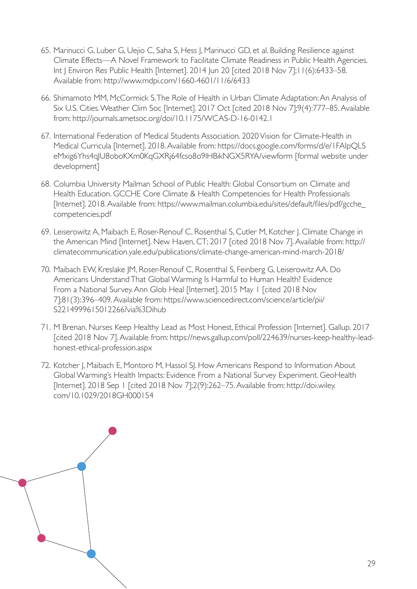- 65. Marinucci G, Luber G, Uejio C, Saha S, Hess J, Marinucci GD, et al. Building Resilience against Climate Effects—A Novel Framework to Facilitate Climate Readiness in Public Health Agencies. Int J Environ Res Public Health [Internet]. 2014 Jun 20 [cited 2018 Nov 7];11(6):6433–58. Available from: http://www.mdpi.com/1660-4601/11/6/6433
- 66. Shimamoto MM, McCormick S. The Role of Health in Urban Climate Adaptation: An Analysis of Six U.S. Cities. Weather Clim Soc [Internet]. 2017 Oct [cited 2018 Nov 7];9(4):777–85. Available from: http://journals.ametsoc.org/doi/10.1175/WCAS-D-16-0142.1
- 67. International Federation of Medical Students Association. 2020 Vision for Climate-Health in Medical Curricula [Internet]. 2018. Available from: https://docs.google.com/forms/d/e/1FAIpQLS eMxig6Yhs4qJU8oboKXm0KqGXRj64fcso8o9lHBikNGX5RYA/viewform [formal website under development]
- 68. Columbia University Mailman School of Public Health: Global Consortium on Climate and Health Education. GCCHE Core Climate & Health Competencies for Health Professionals [Internet]. 2018. Available from: https://www.mailman.columbia.edu/sites/default/files/pdf/gcche\_ competencies.pdf
- 69. Leiserowitz A, Maibach E, Roser-Renouf C, Rosenthal S, Cutler M, Kotcher J. Climate Change in the American Mind [Internet]. New Haven, CT; 2017 [cited 2018 Nov 7]. Available from: http:// climatecommunication.yale.edu/publications/climate-change-american-mind-march-2018/
- 70. Maibach EW, Kreslake JM, Roser-Renouf C, Rosenthal S, Feinberg G, Leiserowitz AA. Do Americans Understand That Global Warming Is Harmful to Human Health? Evidence From a National Survey. Ann Glob Heal [Internet]. 2015 May 1 [cited 2018 Nov 7];81(3):396–409. Available from: https://www.sciencedirect.com/science/article/pii/ S2214999615012266?via%3Dihub
- 71. M Brenan. Nurses Keep Healthy Lead as Most Honest, Ethical Profession [Internet]. Gallup. 2017 [cited 2018 Nov 7]. Available from: https://news.gallup.com/poll/224639/nurses-keep-healthy-leadhonest-ethical-profession.aspx
- 72. Kotcher J, Maibach E, Montoro M, Hassol SJ. How Americans Respond to Information About Global Warming's Health Impacts: Evidence From a National Survey Experiment. GeoHealth [Internet]. 2018 Sep 1 [cited 2018 Nov 7];2(9):262–75. Available from: http://doi.wiley. com/10.1029/2018GH000154